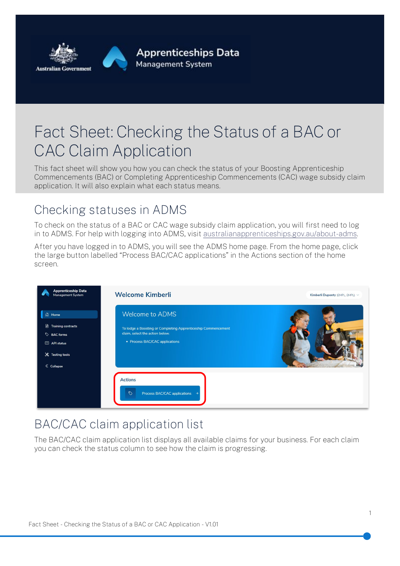

# Fact Sheet: Checking the Status of a BAC or CAC Claim Application

This fact sheet will show you how you can check the status of your Boosting Apprenticeship Commencements (BAC) or Completing Apprenticeship Commencements (CAC) wage subsidy claim application. It will also explain what each status means.

#### Checking statuses in ADMS

To check on the status of a BAC or CAC wage subsidy claim application, you will first need to log in to ADMS. For help with logging into ADMS, visit [australianapprenticeships.gov.au/about-adms.](https://www.australianapprenticeships.gov.au/about-adms)

After you have logged in to ADMS, you will see the ADMS home page. From the home page, click the large button labelled "Process BAC/CAC applications" in the Actions section of the home screen.

| <b>Apprenticeship Data</b><br>Management System                                                              | <b>Welcome Kimberli</b>                                                                                                                                      | Kimberli Duponty (EMPL, EMPL) V |
|--------------------------------------------------------------------------------------------------------------|--------------------------------------------------------------------------------------------------------------------------------------------------------------|---------------------------------|
| <b>d</b> Home<br>Training contracts<br>BAC forms<br><b>图 API status</b><br>X Testing tools<br>$\ll$ Collapse | <b>Welcome to ADMS</b><br>To lodge a Boosting or Completing Apprenticeship Commencement<br>claim, select the action below.<br>• Process BAC/CAC applications |                                 |
|                                                                                                              | <b>Actions</b><br>$\heartsuit$<br>Process BAC/CAC applications →                                                                                             |                                 |

### BAC/CAC claim application list

The BAC/CAC claim application list displays all available claims for your business. For each claim you can check the status column to see how the claim is progressing.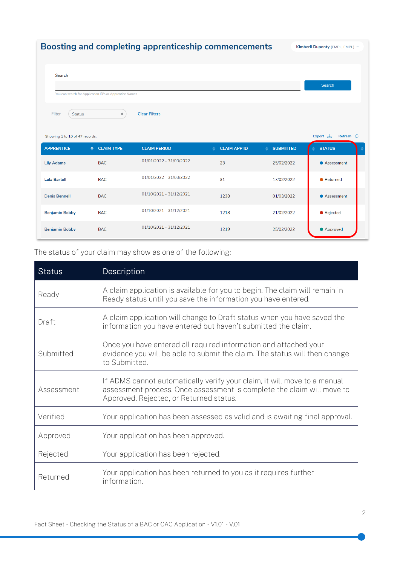| Boosting and completing apprenticeship commencements<br>Kimberli Duponty (EMPL, EMPL) $\vee$                                                                   |                                                         |                         |                     |                       |               |  |
|----------------------------------------------------------------------------------------------------------------------------------------------------------------|---------------------------------------------------------|-------------------------|---------------------|-----------------------|---------------|--|
| Search                                                                                                                                                         | You can search for Application ID's or Apprentice Names |                         |                     |                       | Search        |  |
| <b>Clear Filters</b><br>Filter<br>$\hat{\mathbf{z}}$<br><b>Status</b><br>Export $\mathcal{L}$<br>Refresh $\circlearrowright$<br>Showing 1 to 10 of 47 records. |                                                         |                         |                     |                       |               |  |
| <b>APPRENTICE</b>                                                                                                                                              | ← CLAIM TYPE                                            | <b>CLAIM PERIOD</b>     | <b>CLAIM APP ID</b> | <b>SUBMITTED</b><br>▲ | <b>STATUS</b> |  |
| <b>Lily Adams</b>                                                                                                                                              | <b>BAC</b>                                              | 01/01/2022 - 31/03/2022 | 23                  | 25/02/2022            | Assessment    |  |
| <b>Lola Bartell</b>                                                                                                                                            | <b>BAC</b>                                              | 01/01/2022 - 31/03/2022 | 31                  | 17/02/2022            | • Returned    |  |
| <b>Denis Bennell</b>                                                                                                                                           | <b>BAC</b>                                              | 01/10/2021 - 31/12/2021 | 1238                | 01/03/2022            | Assessment    |  |
| <b>Benjamin Bobby</b>                                                                                                                                          | <b>BAC</b>                                              | 01/10/2021 - 31/12/2021 | 1218                | 21/02/2022            | • Rejected    |  |
| <b>Benjamin Bobby</b>                                                                                                                                          | <b>BAC</b>                                              | 01/10/2021 - 31/12/2021 | 1219                | 25/02/2022            | • Approved    |  |

#### The status of your claim may show as one of the following:

| <b>Status</b> | Description                                                                                                                                                                                   |  |
|---------------|-----------------------------------------------------------------------------------------------------------------------------------------------------------------------------------------------|--|
| Ready         | A claim application is available for you to begin. The claim will remain in<br>Ready status until you save the information you have entered.                                                  |  |
| Draft         | A claim application will change to Draft status when you have saved the<br>information you have entered but haven't submitted the claim.                                                      |  |
| Submitted     | Once you have entered all required information and attached your<br>evidence you will be able to submit the claim. The status will then change<br>to Submitted.                               |  |
| Assessment    | If ADMS cannot automatically verify your claim, it will move to a manual<br>assessment process. Once assessment is complete the claim will move to<br>Approved, Rejected, or Returned status. |  |
| Verified      | Your application has been assessed as valid and is awaiting final approval.                                                                                                                   |  |
| Approved      | Your application has been approved.                                                                                                                                                           |  |
| Rejected      | Your application has been rejected.                                                                                                                                                           |  |
| Returned      | Your application has been returned to you as it requires further<br>information.                                                                                                              |  |